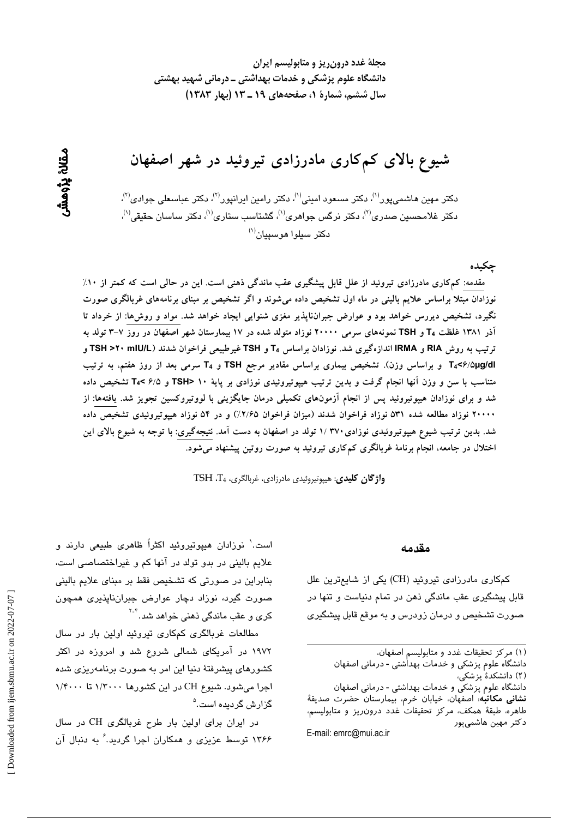مجلهٔ غدد درون ریز و متابولیسم ایران دانشگاه علوم پزشکی و خدمات بهداشتی ــ درمانی شهید بهشتی سال ششم، شمارة 1، صفحههای 19 ـ 13 (بهار ۱۳۸۳)

شیوع بالای کمکاری مادرزادی تیروئید در شهر اصفهان

دکتر مهین هاشمی،پور<sup>۱۱)</sup>، دکتر مسعود امینی<sup>۱۱</sup>)، دکتر رامین ایرانپور<sup>۲۱)</sup>، دکتر عباسعلی جوادی<sup>۲۱</sup>)، دکتر غلامحسین صدری<sup>(۲)</sup>، دکتر نرگس جوا*هری*<sup>(۱)</sup>، گشتاسب ستاری<sup>(۱)</sup>، دکتر ساسان حقیقی<sup>(۱)</sup>،  $^{(1)}$ دکتر سیلوا هوسیبان

جكيده

مقدمه: کم کاری مادرزادی تیروئید از علل قابل پیشگیری عقب ماندگی ذهنی است. این در حالی است که کمتر از ۱۰٪ نوزادان مبتلا براساس علایم بالینی در ماه اول تشخیص داده میشوند و اگر تشخیص بر مبنای برنامههای غربالگری صورت نگیرد، تشخیص دیررس خواهد بود و عوارض جبرانناپذیر مغزی شنوایی ایجاد خواهد شد. مواد و روشها: از خرداد تا آذر ۱۳۸۱ غلظت T4 و TSH نمونههای سرمی ۲۰۰۰۰ نوزاد متولد شده در ۱۷ بیمارستان شهر اصفهان در روز ۷−۳ تولد به ترتیب به روش RIA و IRMA اندازهگیری شد. نوزادان براساس T4 و TSH غیرطبیعی فراخوان شدند (TSH >۲۰ mlU/L و T4<۶/۵µg/dl و براساس وزن). تشخیص بیماری براساس مقادیر مرجع TSH و T4 سرمی بعد از روز هفتم، به ترتیب متناسب با سن و وزن آنها انجام گرفت و بدین ترتیب هیپوتیروئیدی نوزادی بر پایهٔ ۱۰ <TSH و ۶/۵ >T تشخیص داده شد و برای نوزادان هیپوتیروئید پس از انجام آزمونهای تکمیلی درمان جایگزینی با لووتیروکسین تجویز شد. یافتهها: از ۲۰۰۰۰ نوزاد مطالعه شده ۵۳۱ نوزاد فراخوان شدند (میزان فراخوان ۲/۶۵٪) و در ۵۴ نوزاد هیپوتیروئیدی تشخیص داده شد. بدین ترتیب شیوع هیپوتیروئیدی نوزادی۲۷۰ /۱ تولد در اصفهان به دست آمد. نتیجهگیری: با توجه به شیوع بالای این اختلال در جامعه، انجام برنامهٔ غربالگری کم کاری تیروئید به صورت روتین پیشنهاد میشود.

واژگان كليدى: هيپوتيروئيدى مادرزادى، غربالگرى، TSH .T4

#### مقدمه

کمکاری مادرزادی تیروئید (CH) یکی از شایعترین علل قابل پیشگیری عقب ماندگی ذهن در تمام دنیاست و تنها در صورت تشخیص و درمان زودرس و به موقع قابل پیشگیری

E-mail: emrc@mui.ac.ir

است.' نوزادان هیپوتیروئید اکثراً ظاهری طبیعی دارند و علایم بالینی در بدو تولد در آنها کم و غیراختصاصی است، بنابراین در صورتی که تشخیص فقط بر مبنای علایم بالینی صورت گیرد، نوزاد دچار عوارض جبرانناپذیری همچون کری و عقب ماندگی ذهنی خواهد شد.<sup>۲-۲</sup>

مطالعات غربالگری کمکاری تیروئید اولین بار در سال ۱۹۷۲ در آمریکای شمالی شروع شد و امروزه در اکثر کشورهای پیشرفتهٔ دنیا این امر به صورت برنامهریزی شده اجرا میشود. شیوع CH در این کشورها ۱/۳۰۰۰ تا ۱/۴۰۰۰ گزارش گردیده است.<sup>۵</sup>

در ایران برای اولین بار طرح غربالگری CH در سال ۱۳۶۶ توسط عزیزی و همکاران اجرا گردید.'ُ به دنبال آن

<sup>(</sup>١) مركز تحقيقات غدد و متابوليسم اصفهان،

دانشگاه علوم پزشکی و خدمات بهداٰشتی - درمانی اصفهان

<sup>(</sup>۲) دانشکدهٔ یز شکی، دانشگاه علوم پزشکی و خدمات بهداشتی - درمانی اصفهان

**نشانی مکاتب**ه: اصفهان، خیابان خرم، بیمارستان حضرت صدیقهٔ طاهره، طبقهٔ همکف، مرکز تحقیقات غدد درون٫یز و متابولیسم، دكتر مهين هاشميپور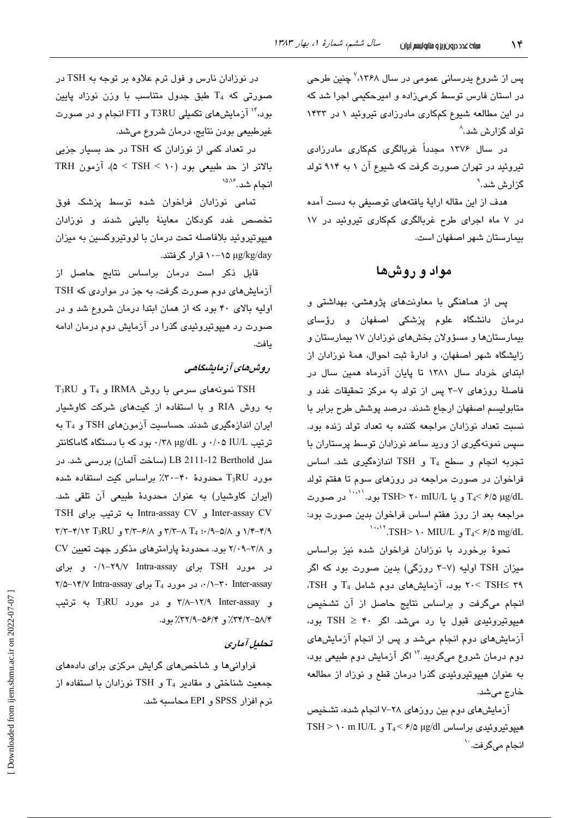پس از شروع پدرسانی عمومی در سال ۱۳۶۸،<sup>۷</sup> چنین طرحی در استان فارس توسط کرمیزاده و امیرحکیمی اجرا شد که در این مطالعه شیوع کمکاری مادرزادی تیروئید ۱ در ۱۴۳۳ تولد گزارش شد.^

در سال ۱۳۷۶ مجدداً غربالگری کمکاری مادرزادی تیروئید در تهران صورت گرفت که شیوع آن ۱ به ۹۱۴ تولد گزارش شد.<sup>۹</sup>

هدف از این مقاله ارایهٔ یافتههای توصیفی به دست آمده در ۷ ماه اجرای طرح غربالگری کمکاری تیروئید در ۱۷ بیمارستان شهر اصفهان است.

# مواد و روشها

یس از هماهنگی با معاونتهای پژوهشی، بهداشتی و درمان دانشگاه علوم پزشکی اصفهان و رؤسای بیمارستانها و مسؤولان بخشهای نوزادان ۱۷ بیمارستان و زایشگاه شهر اصفهان، و ادارهٔ ثبت احوال، همهٔ نوزادان از ابتدای خرداد سال ۱۳۸۱ تا پایان آذرماه همین سال در فاصلهٔ روزهای ۷-۳ پس از تولد به مرکز تحقیقات غدد و متابولیسم اصفهان ارجاع شدند. درصد پوشش طرح برابر با نسبت تعداد نوزادان مراجعه كننده به تعداد تولد زنده بود. سپس نمونهگیری از ورید ساعد نوزادان توسط پرستاران با تجربه انجام و سطح T<sub>4</sub> و TSH اندازهگیری شد. اساس فراخوان در صورت مراجعه در روزهای سوم تا هفتم تولد T4< ۶/۵ μg/dL و یا TSH> ۲۰ mIU/L بود. '''' در صورت مراجعه بعد از روز هفتم اساس فراخوان بدین صورت بود:  $T_{4}$  /:  $TSH$  /  $\cdot$  MIU/L  $_{4}$  /2  $\approx$   $T_{4}$  /2 mg/dL

نحوهٔ برخورد با نوزادان فراخوان شده نیز براساس میزان TSH اولیه (۷-۳ روزگی) بدین صورت بود که اگر ۳۹ ≥۲۱SH >۲۰ بود، آزمایشهای دوم شامل T4 و TSH. انجام میگرفت و براساس نتایج حاصل از آن تشخیص هیپوتیروئیدی قبول یا رد میشد. اگر ۴۰ ≤ TSH بود، آزمایشهای دوم انجام میشد و پس از انجام آزمایشهای دوم درمان شروع میگردید.<sup>۱۲</sup> اگر آزمایش دوم طبیعی بود، به عنوان هیپوتیروئیدی گذرا درمان قطع و نوزاد از مطالعه خارج میشد.

آزمایشهای دوم بین روزهای ۲۸–۷ انجام شده، تشخیص TSH > ١٠ m IU/L و T<sub>4</sub> < ۶/۵ µg/dl میپوتیروئیدی براساس انجام میگرفت.<sup>۱۰</sup>

در نوزادان نارس و فول ترم علاوه بر توجه به TSH در صورتی که T<sub>4</sub> طبق جدول متناسب با وزن نوزاد پایین بود،" آزمایشهای تکمیلی T3RU و FTI انجام و در صورت غیرطبیعی بودن نتایج، درمان شروع میشد.

در تعداد کمی از نوزادان که TSH در حد بسیار جزیی بالاتر از حد طبیعی بود (۱۰ > TSH > ۵)، آزمون TRH انجام شد. <sup>۱۵٬۱۶</sup>

تمامی نوزادان فراخوان شده توسط پزشک فوق تخصص غدد کودکان معاینهٔ بالینی شدند و نوزادان هیپوتیروئید بلافاصله تحت درمان با لووتیروکسین به میزان μg/kg/day ۱۰–۱۵ قرار گرفتند.

قابل ذکر است درمان براساس نتایج حاصل از آزمایشهای دوم صورت گرفت، به جز در مواردی که TSH اولیه بالای ۴۰ بود که از همان ابتدا درمان شروع شد و در صورت رد هیپوتیروئیدی گذرا در آزمایش دوم درمان ادامه ىافت.

# روشهای آزمایشگاهی

 $T_3$ RU نمونههای سرمی با روش IRMA و T<sub>3</sub>RU و T<sub>3</sub>RU به روش RIA و با استفاده از کیتهای شرکت کاوشیار ایران اندازهگیری شدند. حساسیت آزمونهای TSH و T<sub>4</sub> به ترتیب IU/L ۰/۰۵ و μg/dL ۰/۳۸ مورد که با دستگاه گاماکانتر مدل LB 2111-12 Berthold (ساخت آلمان) بررسی شد. در مورد T3RU محدودهٔ ۴۰-۳۰٪ براساس کیت استفاده شده (ایران کاوشیار) به عنوان محدودهٔ طبیعی آن تلقی شد. Inter-assay CV و Intra-assay CV به ترتيب براى TSH  $\Upsilon/\Upsilon - \Upsilon/\Upsilon$  ) / ۰/۹–۰/۹ و ۲/۲–۲/۳ و ۳/۲–۲/۲ و ۲/۲–۲/۲ و ۲/۲–۲/۲ و ۲/۰۹-۲/۸ بود. محدودهٔ پارامترهای مذکور جهت تعیین CV در مورد TSH برای ۲۹/۷ Intra-assay برای ۰/۱-۳۰ Inter-assay برای T<sub>4</sub> برای ۰۱۴/۷ Intra-assay برای و ۲/۸-۱۲/۹ Inter-assay و در مورد T3RU به ترتیب ۳۴/۲–۵۸/۴٪ و ۳۲/۹–۵۶/۴)٪ بود.

# تحليل أماري

فراوانی ها و شاخصهای گرایش مرکزی برای دادههای جمعیت شناختی و مقادیر T4 و TSH نوزادان با استفاده از نرم افزار SPSS و EPI محاسبه شد.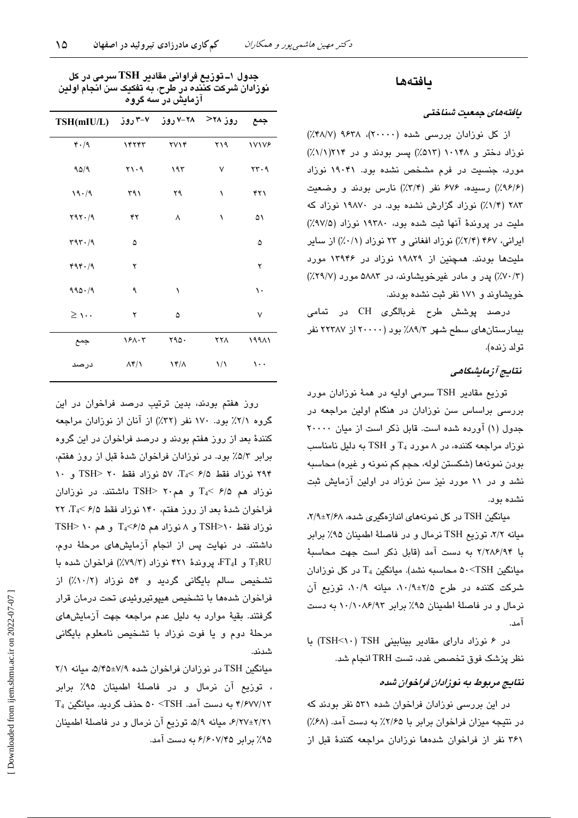# بافتهها

#### يافتەماي جەعيت شىناختى

از کل نوزادان بررسی شده (۲۰۰۰۰)، ۹۶۳۸ (۴۸/۷٪) نوزاد دختر و ۱۰۱۴۸ (۵۱۳٪) پسر بودند و در ۲۱۴(۰/۱٪) مورد، جنسیت در فرم مشخص نشده بود. ۱۹۰۴۱ نوزاد (٩/٤/٢) رسيده، ٤٧۶ نفر (٣/٣٪) نارس بودند و وضعيت ۲۸۳ (۱/۴٪) نوزاد گزارش نشده بود. در ۱۹۸۷۰ نوزاد که ملیت در پروندهٔ آنها ثبت شده بود، ۱۹۳۸۰ نوزاد (۹۷/۵٪) ایرانی، ۴۶۷ (۲/۴٪) نوزاد افغانی و ۲۳ نوزاد (۰/۱٪) از سایر ملیتها بودند. همچنین از ۱۹۸۲۹ نوزاد در ۱۳۹۴۶ مورد (۷۰/۳٪) پدر و مادر غیرخویشاوند، در ۵۸۸۳ مورد (۲۹/۷٪) خویشاوند و ۱۷۱ نفر ثبت نشده بودند.

درصد پوشش طرح غربالگری CH در تمامی بیمارستان های سطح شهر ۸۹/۳٪ بود (۲۰۰۰۰ از ۲۲۳۸۷ نفر تولد زنده).

#### نتايج آزمايشگاهي

توزيع مقادير TSH سرمي اوليه در همهٔ نوزادان مورد بررسی براساس سن نوزادان در هنگام اولین مراجعه در جدول (١) آورده شده است. قابل ذكر است از ميان ٢٠٠٠٠ نوزاد مراجعه کننده، در ۸ مورد  $T_4$  و TSH به دلیل نامناسب بودن نمونهها (شکستن لوله، حجم کم نمونه و غیره) محاسبه نشد و در ۱۱ مورد نیز سن نوزاد در اولین آزمایش ثبت نشده بود.

مبانگین TSH در کل نمونههای اندازهگیری شده، ۲/۴±۲/۶۸، میانه ۲/۲، توزیع TSH نرمال و در فاصلهٔ اطمینان ۹۵٪ برابر با ٢/٢٨۶/٩۴ به دست آمد (قابل ذكر است جهت محاسبة مىانگىن TSH>۵۰<TSH محاسىيە نشد). مىانگىن  $T_4$  در كل نوزادان شركت كننده در طرح ٢/٥±٢/٩، ميانه ٠١٠/٩، توزيع آن نرمال و در فاصلهٔ اطمینان ۹۵٪ برابر ۱۰/۱۰۸۶/۹۳ به دست  $\overline{\mathbf{u}}$ 

در ۶ نوزاد دارای مقادیر بینابینی TSH (۲۰۱-TSH) با نظر پزشک فوق تخصص غدد، تست TRH انجام شد.

## نتایج مربوط به نوزادان فراخوان شده

در این بررسی نوزادان فراخوان شده ۵۳۱ نفر بودند که در نتیجه میزان فراخوان برابر با ۲/۶۵٪ به دست آمد. (۶۸٪) ۳۶۱ نفر از فراخوان شدهها نوزادان مراجعه کنندهٔ قبل از

جدول ۱ــ توزیع فراوانی مقادیر TSH سرمی در کل نوزادان شرکت کننده در طرح، به تفکیک سن انجام اولین ازمایش در سه گروه

| $TSH(mIU/L)$ روز ۲۸< ۲۸–۷ روز $V-Y$ روز $V-TST$ |                                 |                     |               | جمع          |
|-------------------------------------------------|---------------------------------|---------------------|---------------|--------------|
| 4.4                                             | ١۴٢۴٣                           | <b>TV14</b>         | ۲۱۹           | <b>17178</b> |
| 90/9                                            | $Y \setminus \cdot \mathcal{A}$ | ۱۹۳                 | ٧             | rr.9         |
| 19.79                                           | ۳۹۱                             | ۲۹                  | ١             | ۴۲۱          |
| Y9Y.49                                          | ۴۲                              | ٨                   | ١             | ۵١           |
| 497.79                                          | ۵                               |                     |               | ۵            |
| 494.49                                          | ۲                               |                     |               | ۲            |
| $990 - 9$                                       | ٩                               | ١                   |               | ١.           |
| $\geq$ 1 $\cdots$                               | ۲                               | ۵                   |               | ٧            |
| جمع                                             | 181.5                           | 490.                | ۲۲۸           | ۱۹۹۸۱        |
| درصد                                            | $\Lambda$ ۴/۱                   | $\lambda^*/\lambda$ | $\frac{1}{2}$ | $\cdots$     |

روز هفتم بودند، بدین ترتیب درصد فراخوان در این گروه ۲/۱٪ بود. ۱۷۰ نفر (۳۲٪) از آنان از نوزادان مراجعه کنندهٔ بعد از روز هفتم بودند و درصد فراخوان در این گروه برابر ۵/۳٪ بود. در نوزادان فراخوان شدهٔ قبل از روز هفتم، ۲۹۴ نوزاد فقط ۶/۵ >TA، ۵۷ نوزاد فقط ۲۰ <TSH و ۱۰  $T_4$ نوزاد هم ۶/۵ >T و هم۲۰ <TSH داشتند. در نوزادان فراخوان شدهٔ بعد از روز هفتم، ١۴٠ نوزاد فقط ۶/۵ >T4. ٢٢  $TSH$ > ۱۰ نوزاد فقط ۱۰<r ESH و ۸ نوزاد هم ۵/۶>T داشتند. در نهایت پس از انجام آزمایشهای مرحلهٔ دوم، T3RU و FT4I، پروندهٔ ۴۲۱ نوزاد (۷۹/۳٪) فراخوان شده با تشخيص سالم بابگاني گرديد و ۵۴ نوزاد (١٠/٢٪) از فراخوان شدهها با تشخیص هیپوتیروئیدی تحت درمان قرار گرفتند. بقیهٔ موارد به دلیل عدم مراجعه جهت آزمایش های مرحلهٔ دوم و یا فوت نوزاد با تشخیص نامعلوم بایگانی شدند.

میانگین TSH در نوزادان فراخوان شده ۷/۹±۵/۴۵، میانه ۲/۱ ، توزيع آن نرمال و در فاصلهٔ اطمينان ۹۵٪ براير  $T_4$  ۴/۶۷۷/۱۳ به دست آمد.  $\textrm{TSH} \geq 2 \cdot 10^{-4}$  حذف گردید. میانگین ۶/۲۷±۲/۲۱، میانه ۵/۹، توزیع آن نرمال و در فاصلهٔ اطمینان ۹۵٪ بر ایر ۶/۶۰۷/۴۵ به دست آمد.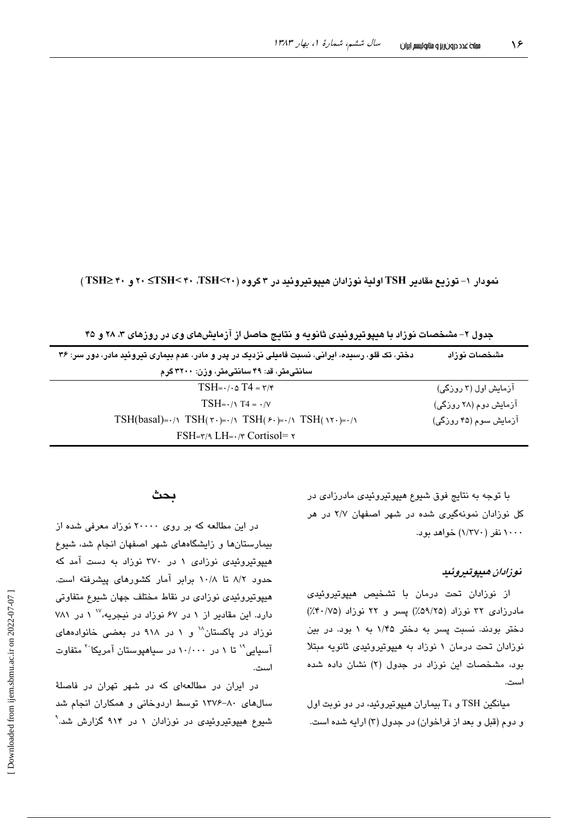نمودار ١- توزيع مقادير TSH اوليهٔ نوزادان هيپوتيروئيد در ٣ گروه (٢٠>TSH> ٢٠ ، ٣ >TSH> ٢٠ و ٣٠ ≤TSH

جدول ۲– مشخصات نوزاد با هیپوتیروئیدی ثانویه و نتایج حاصل از آزمایشهای وی در روزهای ۳، ۲۸ و ۴۵

| دختر، تک قلو، رسیده، ایرانی، نسبت فامیلی نزدیک در پدر و مادر، عدم بیماری تیروئید مادر، دور سر: ۳۶                                        | مشخصات نوزاد          |
|------------------------------------------------------------------------------------------------------------------------------------------|-----------------------|
| سانتی متر، قد: ۴۹ سانتی متر، وزن: ۳۲۰۰ گرم                                                                                               |                       |
| $TSH=\cdot \cdot \cdot \circ T4=\tau/r$                                                                                                  | آزمایش اول (۲ روزگی)  |
| $TSH = \cdot / \sqrt{14} = \cdot / \sqrt{14}$                                                                                            | آزمایش دوم (۲۸ روزگی) |
| TSH(basal)= $\cdot/\gamma$ TSH( $\tau \cdot$ )= $\cdot/\gamma$ TSH( $\ell \cdot$ )= $\cdot/\gamma$ TSH( $\gamma \cdot$ )= $\cdot/\gamma$ | آزمایش سوم (۴۵ روزگی) |
| $FSH=\gamma$ LH $=\gamma$ Cortisol $=\gamma$                                                                                             |                       |

با توجه به نتایج فوق شیوع هیپوتیروئیدی مادرزادی در کل نوزادان نمونهگیری شده در شهر اصفهان ۲/۷ در هر ۱۰۰۰ نفر (۱/۳۷۰) خواهد بود.

## نوزادان مىيوتىروئىيا

از نوزادان تحت درمان با تشخیص هیپوتیروئیدی مادرزادی ۳۲ نوزاد (۵۹/۲۵٪) یسر و ۲۲ نوزاد (۰/۷۵٪) دختر بودند. نسبت پسر به دختر ۱/۴۵ به ۱ بود. در بین نوزادان تحت درمان ۱ نوزاد به هیپوتیروئیدی ثانویه مبتلا بود، مشخصات این نوزاد در جدول (۲) نشان داده شده است.

میانگین TSH و T4 بیماران هیپوتیروئید، در دو نوبت اول و دوم (قبل و بعد از فراخوان) در جدول (۳) ارایه شده است.

#### ىحث

در این مطالعه که بر روی ۲۰۰۰۰ نوزاد معرفی شده از بیمارستانها و زایشگاههای شهر اصفهان انجام شد، شیوع هیپوتیروئیدی نوزادی ۱ در ۳۷۰ نوزاد به دست آمد که حدود ۸/۲ تا ۱۰/۸ برابر آمار کشورهای پیشرفته است. هیپوتیروئیدی نوزادی در نقاط مختلف جهان شیوع متفاوتی دارد. این مقادیر از ۱ در ۶۷ نوزاد در نیجریه، ۱' ۱ در ۷۸۱ نوزاد در پاکستان" و ۱ در ۹۱۸ در بعضی خانوادههای آسیایی" تا ۱ در ۱۰/۰۰۰ در سیاهپوستان آمریکا<sup>۲۰</sup> متفاوت استحب

در ایران در مطالعهای که در شهر تهران در فاصلهٔ سالهای ۸۰-۱۳۷۶ توسط اردوخانی و همکاران انجام شد شیوع هیپوتیروئیدی در نوزادان ۱ در ۹۱۴ گزارش شد.<sup>۹</sup>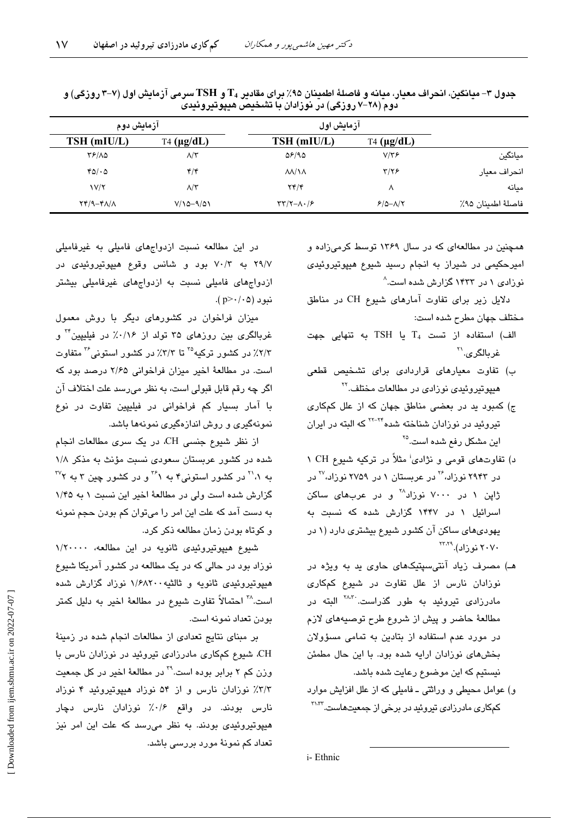|                    | آزمایش اول                  |                                       |                    | آزمايش دوم    |
|--------------------|-----------------------------|---------------------------------------|--------------------|---------------|
|                    | $T4 \, (\mu g/dL)$          | TSH (mIU/L)                           | $T4 \, (\mu g/dL)$ | TSH (mIU/L)   |
| ميانگين            | $V/Y$ ۶                     | $\Delta$ ۶/۹۵                         | $\Lambda/\tau$     | 81/10         |
| انحراف معيار       | $\tau/\tau$ ۶               | $\Lambda\Lambda/\Lambda\Lambda$       | ۴/۴                | 40/40         |
| مىانە              | Λ                           | YY/Y                                  | $\Lambda/\tau$     | V/T           |
| فاصلهٔ اطمينان ۹۵٪ | $P/\Delta-\Lambda/\Upsilon$ | $\tau\tau/\tau-\Lambda\cdot/\epsilon$ | $V/10-9/01$        | $Y^*(A-FA/A)$ |
|                    |                             |                                       |                    |               |

جدول ۳- میانگین، انحراف معیار، میانه و فاصلهٔ اطمینان ۹۵٪ برای مقادیر ،T و TSH سرمی آزمایش اول (۷-۳ روزگی) و دوم (۲۸–۷ روزگی) در نوزادان با تشخیص هیپوتیروئیدی

همچنین در مطالعهای که در سال ۱۳۶۹ توسط کرمیزاده و امیرحکیمی در شیراز به انجام رسید شیوع هیپوتیروئیدی نوزادی ۱ در ۱۴۳۳ گزارش شده است.<sup>۸</sup>

دلایل زیر برای تفاوت آمارهای شیوع CH در مناطق مختلف جهان مطرح شده است:

- الف) استفاده از تست  $T_4$  یا TSH به تنهایی جهت غربالگري.<sup>۲۱</sup>
- ب) تفاوت معیارهای قراردادی برای تشخیص قطعی هیپوتیروئیدی نوزادی در مطالعات مختلف.<sup>۲۲</sup>
- ج) کمبود ید در بعضی مناطق جهان که از علل کمکاری تیروئید در نوزادان شناخته شده<sup>۲۲-۲۲</sup> که البته در ایران این مشکل رفع شده است.<sup>۲۵</sup>
- د) تفاوتهای قومی و نژادی<sup>:</sup> مثلاً در ترکیه شیوع CH ۱ در ۲۹۴۳ نوزاد،<sup>۲۶</sup> در عربستان ۱ در ۲۷۵۹ نوزاد،<sup>۲۷</sup> در ژاین ۱ در ۷۰۰۰ نوزاد<sup>۲۸</sup> و در عربها*ی* ساکن اسرائیل ۱ در ۱۴۴۷ گزارش شده که نسبت به یهودیهای ساکن آن کشور شیوع بیشتری دارد (۱ در  $Y^{Y,Y4}$ ، نو زاد). ۲۰۷۰
- هـ) مصرف زیاد آنتی سپتیکهای حاوی ید به ویژه در نوزادان نارس از علل تفاوت در شیوع کمکاری مادرزا*دی* تیروئید به طور گذراست.<sup>۳۸،۳</sup> البته در مطالعهٔ حاضر و پیش از شروع طرح توصیههای لازم در مورد عدم استفاده از بتادین به تمامی مسؤولان بخشهای نوزادان ارایه شده بود. با این حال مطمئن نیستیم که این موضوع رعایت شده باشد.
- و) عوامل محیطی و وراثتی ـ فامیلی که از علل افزایش موارد کمکاری مادرزادی تیروئید در برخی از جمعیتهاست.<sup>۳۱،۳۲</sup>

در این مطالعه نسبت ازدواجهای فامیلی به غیرفامیلی ۲۹/۷ به ۷۰/۳ بود و شانس وقوع هیپوتیروئیدی در ازدواجهای فامیلی نسبت به ازدواجهای غیرفامیلی بیشتر نبو د (p>٠/٠۵).

میزان فراخوان در کشورهای دیگر با روش معمول غربالگری بین روزهای ۳۵ تولد از ۰/۱۶٪ در فیلیپین<sup>۳ </sup>و ۲/۳٪ در کشور ترکیه<sup>۲۵</sup> تا ۳/۳٪ در کشور استونی<sup>۳۶</sup> متفاوت است. در مطالعهٔ اخیر میزان فراخوانی ۲/۶۵ درصد بود که اگر چه رقم قابل قبولی است، به نظر می٫رسد علت اختلاف آن با آمار بسیار کم فراخوانی در فیلیپین تفاوت در نوع نمونهگیری و روش اندازهگیری نمونهها باشد.

از نظر شیوع جنسی CH، در یک سری مطالعات انجام شده در کشور عربستان سعودی نسبت مؤنث به مذکر ۱/۸ به ۰٫<sup>۱۱</sup> در کشور استونی۴ به <sup>۳۶</sup>۱ و در کشور چین ۳ به <sup>۳۷</sup>۲ گزارش شده است ولی در مطالعهٔ اخیر این نسبت ۱ به ۱/۴۵ به دست آمد که علت این امر را میتوان کم بودن حجم نمونه و كوتاه بودن زمان مطالعه ذكر كرد.

شیوع هیپوتیروئیدی ثانویه در این مطالعه، ۱/۲۰۰۰۰ نوزاد بود در حالی که در یک مطالعه در کشور آمریکا شیوع هیپوتیروئیدی ثانویه و ثالثیه ۱/۶۸۲۰۰ نوزاد گزارش شده است.<sup>۳۸</sup> احتمالاً تفاوت شبوع در مطالعهٔ اخیر به دلیل کمتر بودن تعداد نمونه است.

بر مبنای نتایج تعدادی از مطالعات انجام شده در زمینهٔ CH. شیوع کمکاری مادرزادی تیروئید در نوزادان نارس با وزن کم ۲ برابر بوده است.<sup>۲۹</sup> در مطالعهٔ اخیر در کل جمعیت ٣/٣٪ نوزادان نارس و از ٥۴ نوزاد هیپوتیروئید ۴ نوزاد نارس بودند. در واقع ۰/۶٪ نوزادان نارس دچار هیپوتیروئیدی بودند. به نظر میرسد که علت این امر نیز تعداد کم نمونهٔ مورد بررسی باشد.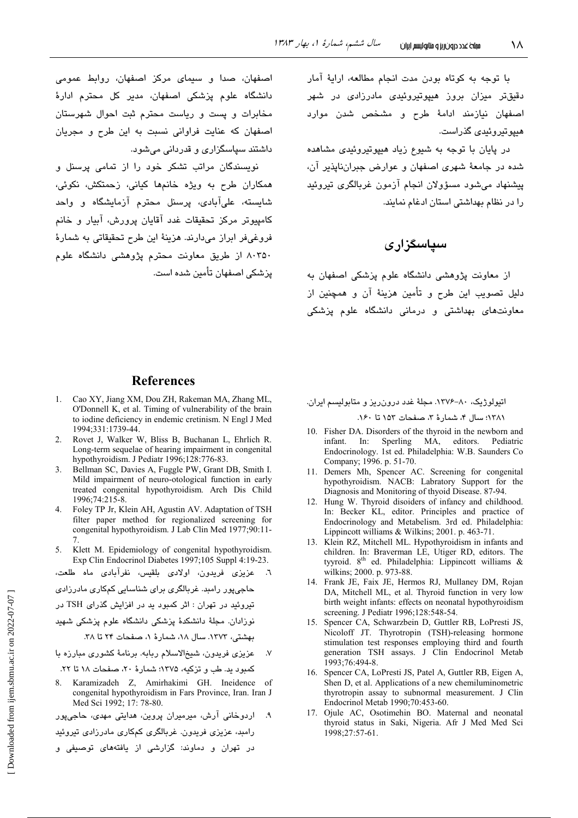با توجه به كوتاه بودن مدت انجام مطالعه، ارايهٔ آمار دقیقتر میزان بروز هیپوتیروئیدی مادرزادی در شهر اصفهان نيازمند ادامهٔ طرح و مشخص شدن موارد هىيوتىروئىدى گذراست.

در پایان با توجه به شیوع زیاد هیپوتیروئیدی مشاهده شده در جامعهٔ شهری اصفهان و عوارض جبراننایذیر آن، پیشنهاد می شود مسؤولان انجام آزمون غربالگری تیروئید را در نظام بهداشتی استان ادغام نمایند.

# سیاسگزاری

از معاونت پژوهشی دانشگاه علوم پزشکی اصفهان به دليل تصويب اين طرح و تأمين هزينهٔ آن و همچنين از معاونتهای بهداشتی و درمانی دانشگاه علوم پزشکی

## **References**

اصفهان، صدا و سیمای مرکز اصفهان، روابط عمومی

دانشگاه علوم پزشکی اصفهان، مدیر کل محترم ادارهٔ

مخابرات و یست و ریاست محترم ثبت احوال شهرستان

اصفهان که عنایت فراوانی نسبت به این طرح و مجریان

نویسندگان مراتب تشکر خود را از تمامی پرسنل و

همکاران طرح به ویژه خانمها کیانی، زحمتکش، نکوئی،

شایسته، علیآبادی، پرسنل محترم آزمایشگاه و واحد

کامییوتر مرکز تحقیقات غدد آقایان پرورش، آبیار و خانم فروغیفر ابراز میدارند. هزینهٔ این طرح تحقیقاتی به شمارهٔ

۸۰۳۵۰ از طریق معاونت محترم پژوهشی دانشگاه علوم

داشتند سیاسگزاری و قدردانی میشود.

يزشكي اصفهان تأمين شده است.

- 1. Cao XY, Jiang XM, Dou ZH, Rakeman MA, Zhang ML, O'Donnell K, et al. Timing of vulnerability of the brain to iodine deficiency in endemic cretinism. N Engl J Med 1994;331:1739-44.
- 2. Rovet J, Walker W, Bliss B, Buchanan L, Ehrlich R. Long-term sequelae of hearing impairment in congenital hypothyroidism. J Pediatr 1996;128:776-83.
- Bellman SC, Davies A, Fuggle PW, Grant DB, Smith I. 3. Mild impairment of neuro-otological function in early treated congenital hypothyroidism. Arch Dis Child  $1996.74.215 - 8$
- Foley TP Jr, Klein AH, Agustin AV. Adaptation of TSH  $\overline{4}$ filter paper method for regionalized screening for congenital hypothyroidism. J Lab Clin Med 1977;90:11-
- 5. Klett M. Epidemiology of congenital hypothyroidism. Exp Clin Endocrinol Diabetes 1997;105 Suppl 4:19-23.
- عزیزی فریدون، اولادی بلقیس، نفرآبادی ماه طلعت، حاجیپور رامبد. غربالگری برای شناسایی کمکاری مادرزادی تیروئید در تهران : اثر کمبود ید در افزایش گذرای TSH در نوزادان. مجلهٔ دانشکدهٔ پزشکی دانشگاه علوم پزشکی شهید بهشتی، ١٣٧٣. سال ١٨، شمارهٔ ١، صفحات ٢۴ تا ٣٨. عزیزی فریدون، شیخ الاسلام ربابه. برنامهٔ کشوری مبارزه با
- کمبود ید. طب و تزکیه، ۱۳۷۵؛ شمارهٔ ۲۰، صفحات ۱۸ تا ۲۲.
- 8. Karamizadeh Z, Amirhakimi GH. Ineidence of congenital hypothyroidism in Fars Province, Iran. Iran J Med Sci 1992; 17: 78-80.
- ۹. اردوخانی آرش، میرمیران پروین، هدایتی مهدی، حاجیپور

رامبد، عزیزی فریدون. غربالگری کمکاری مادرزادی تیروئید

در تهران و دماوند: گزارشی از یافتههای توصیفی و

اتیولوژیک، ۸۰–۱۳۷۶. مجلهٔ غدد درون ریز و متابولیسم ایران.

١٣٨١؛ سال ۴، شمارهٔ ٣، صفحات ١٥٢ تا ١۶٠.

- 10. Fisher DA. Disorders of the thyroid in the newborn and MA, editors. Pediatric infant.  $In:$ Sperling Endocrinology. 1st ed. Philadelphia: W.B. Saunders Co Company; 1996. p. 51-70.
- 11. Demers Mh, Spencer AC. Screening for congenital hypothyroidism. NACB: Labratory Support for the Diagnosis and Monitoring of thyoid Disease. 87-94.
- 12. Hung W. Thyroid disoiders of infancy and childhood. In: Becker KL, editor. Principles and practice of Endocrinology and Metabelism. 3rd ed. Philadelphia: Lippincott williams & Wilkins; 2001. p. 463-71.
- 13. Klein RZ, Mitchell ML. Hypothyroidism in infants and children. In: Braverman LE, Utiger RD, editors. The tyyroid. 8<sup>th</sup> ed. Philadelphia: Lippincott williams & wilkins; 2000. p. 973-88.
- 14. Frank JE, Faix JE, Hermos RJ, Mullaney DM, Rojan DA, Mitchell ML, et al. Thyroid function in very low birth weight infants: effects on neonatal hypothyroidism screening. J Pediatr 1996;128:548-54.
- 15. Spencer CA, Schwarzbein D, Guttler RB, LoPresti JS, Nicoloff JT. Thyrotropin (TSH)-releasing hormone stimulation test responses employing third and fourth generation TSH assays. J Clin Endocrinol Metab 1993;76:494-8.
- 16. Spencer CA, LoPresti JS, Patel A, Guttler RB, Eigen A, Shen D, et al. Applications of a new chemiluminometric thyrotropin assay to subnormal measurement. J Clin Endocrinol Metab 1990;70:453-60.
- 17. Ojule AC, Osotimehin BO. Maternal and neonatal thyroid status in Saki, Nigeria. Afr J Med Med Sci 1998;27:57-61.